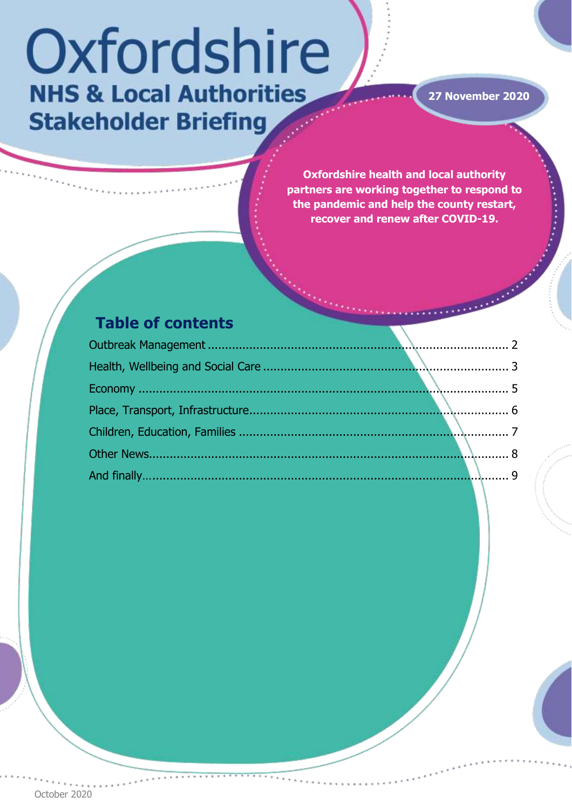# Oxfordshire **NHS & Local Authorities Stakeholder Briefing**

**27 November 2020**

 $\ddot{\phantom{a}}$ 

**Oxfordshire health and local authority partners are working together to respond to the pandemic and help the county restart, recover and renew after COVID-19.** 

# **Table of contents**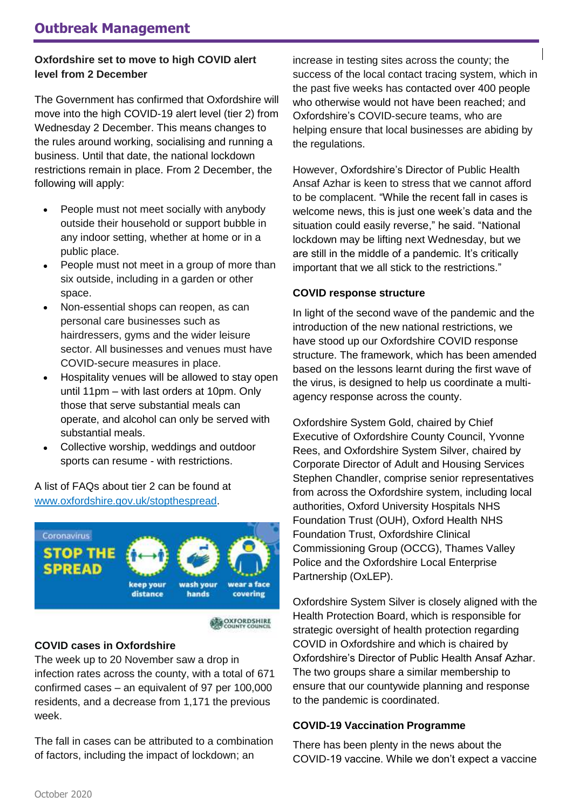#### <span id="page-1-0"></span>**Oxfordshire set to move to high COVID alert level from 2 December**

The Government has confirmed that Oxfordshire will move into the high COVID-19 alert level (tier 2) from Wednesday 2 December. This means changes to the rules around working, socialising and running a business. Until that date, the national lockdown restrictions remain in place. From 2 December, the following will apply:

- People must not meet socially with anybody outside their household or support bubble in any indoor setting, whether at home or in a public place.
- People must not meet in a group of more than six outside, including in a garden or other space.
- Non-essential shops can reopen, as can personal care businesses such as hairdressers, gyms and the wider leisure sector. All businesses and venues must have COVID-secure measures in place.
- Hospitality venues will be allowed to stay open until 11pm – with last orders at 10pm. Only those that serve substantial meals can operate, and alcohol can only be served with substantial meals.
- Collective worship, weddings and outdoor sports can resume - with restrictions.

A list of FAQs about tier 2 can be found at [www.oxfordshire.gov.uk/stopthespread.](https://www.oxfordshire.gov.uk/council/coronavirus-covid-19/controlling-local-coronavirus-outbreaks/new-restrictions)



**COXFORDSHIRE** 

#### **COVID cases in Oxfordshire**

The week up to 20 November saw a drop in infection rates across the county, with a total of 671 confirmed cases – an equivalent of 97 per 100,000 residents, and a decrease from 1,171 the previous week.

The fall in cases can be attributed to a combination of factors, including the impact of lockdown; an

increase in testing sites across the county; the success of the local contact tracing system, which in the past five weeks has contacted over 400 people who otherwise would not have been reached; and Oxfordshire's COVID-secure teams, who are helping ensure that local businesses are abiding by the regulations.

However, Oxfordshire's Director of Public Health Ansaf Azhar is keen to stress that we cannot afford to be complacent. "While the recent fall in cases is welcome news, this is just one week's data and the situation could easily reverse," he said. "National lockdown may be lifting next Wednesday, but we are still in the middle of a pandemic. It's critically important that we all stick to the restrictions."

#### **COVID response structure**

In light of the second wave of the pandemic and the introduction of the new national restrictions, we have stood up our Oxfordshire COVID response structure. The framework, which has been amended based on the lessons learnt during the first wave of the virus, is designed to help us coordinate a multiagency response across the county.

Oxfordshire System Gold, chaired by Chief Executive of Oxfordshire County Council, Yvonne Rees, and Oxfordshire System Silver, chaired by Corporate Director of Adult and Housing Services Stephen Chandler, comprise senior representatives from across the Oxfordshire system, including local authorities, Oxford University Hospitals NHS Foundation Trust (OUH), Oxford Health NHS Foundation Trust, Oxfordshire Clinical Commissioning Group (OCCG), Thames Valley Police and the Oxfordshire Local Enterprise Partnership (OxLEP).

Oxfordshire System Silver is closely aligned with the Health Protection Board, which is responsible for strategic oversight of health protection regarding COVID in Oxfordshire and which is chaired by Oxfordshire's Director of Public Health Ansaf Azhar. The two groups share a similar membership to ensure that our countywide planning and response to the pandemic is coordinated.

#### **COVID-19 Vaccination Programme**

There has been plenty in the news about the COVID-19 vaccine. While we don't expect a vaccine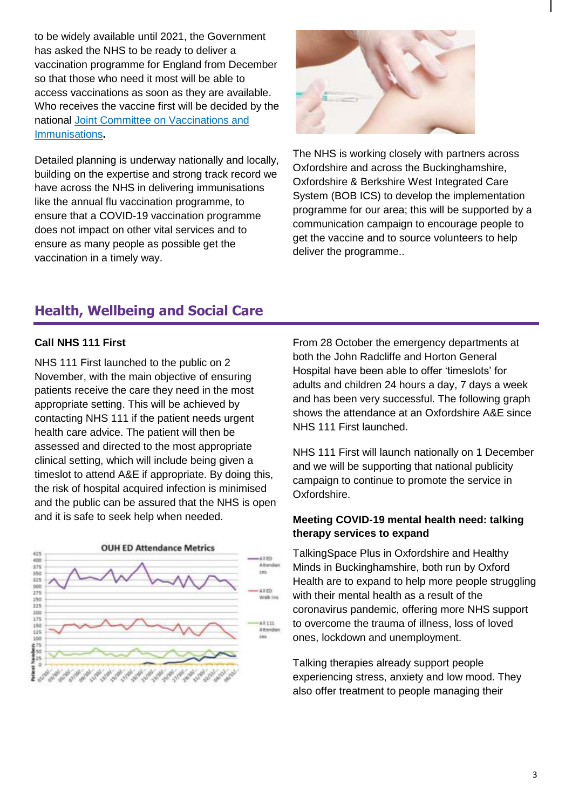to be widely available until 2021, the Government has asked the NHS to be ready to deliver a vaccination programme for England from December so that those who need it most will be able to access vaccinations as soon as they are available. Who receives the vaccine first will be decided by the national [Joint Committee on Vaccinations and](https://www.gov.uk/government/groups/joint-committee-on-vaccination-and-immunisation)  [Immunisations](https://www.gov.uk/government/groups/joint-committee-on-vaccination-and-immunisation)**.**

Detailed planning is underway nationally and locally, building on the expertise and strong track record we have across the NHS in delivering immunisations like the annual flu vaccination programme, to ensure that a COVID-19 vaccination programme does not impact on other vital services and to ensure as many people as possible get the vaccination in a timely way.



The NHS is working closely with partners across Oxfordshire and across the Buckinghamshire, Oxfordshire & Berkshire West Integrated Care System (BOB ICS) to develop the implementation programme for our area; this will be supported by a communication campaign to encourage people to get the vaccine and to source volunteers to help deliver the programme..

# <span id="page-2-0"></span>**Health, Wellbeing and Social Care**

#### **Call NHS 111 First**

NHS 111 First launched to the public on 2 November, with the main objective of ensuring patients receive the care they need in the most appropriate setting. This will be achieved by contacting NHS 111 if the patient needs urgent health care advice. The patient will then be assessed and directed to the most appropriate clinical setting, which will include being given a timeslot to attend A&E if appropriate. By doing this, the risk of hospital acquired infection is minimised and the public can be assured that the NHS is open and it is safe to seek help when needed.



From 28 October the emergency departments at both the John Radcliffe and Horton General Hospital have been able to offer 'timeslots' for adults and children 24 hours a day, 7 days a week and has been very successful. The following graph shows the attendance at an Oxfordshire A&E since NHS 111 First launched.

NHS 111 First will launch nationally on 1 December and we will be supporting that national publicity campaign to continue to promote the service in Oxfordshire.

#### **Meeting COVID-19 mental health need: talking therapy services to expand**

TalkingSpace Plus in Oxfordshire and Healthy Minds in Buckinghamshire, both run by Oxford Health are to expand to help more people struggling with their mental health as a result of the coronavirus pandemic, offering more NHS support to overcome the trauma of illness, loss of loved ones, lockdown and unemployment.

Talking therapies already support people experiencing stress, anxiety and low mood. They also offer treatment to people managing their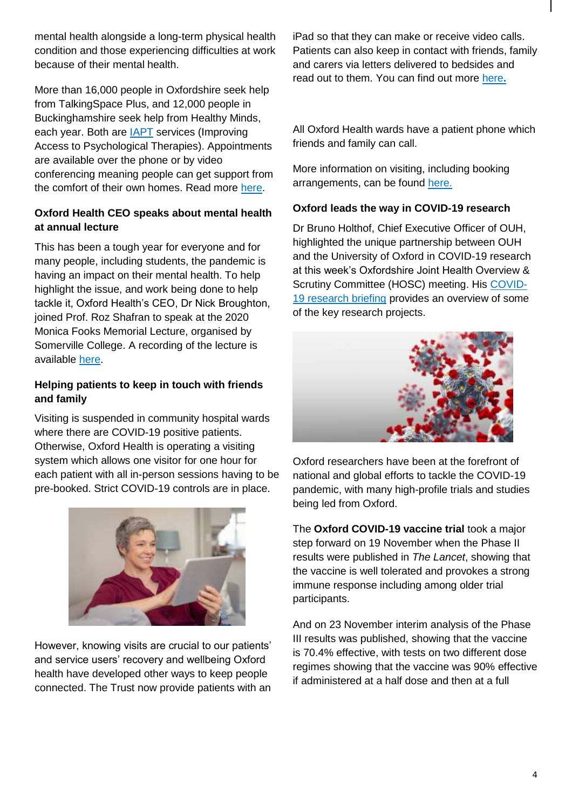mental health alongside a long-term physical health condition and those experiencing difficulties at work because of their mental health.

More than 16,000 people in Oxfordshire seek help from TalkingSpace Plus, and 12,000 people in Buckinghamshire seek help from Healthy Minds, each year. Both are [IAPT](https://www.oxfordhealth.nhs.uk/glossary/iapt/) services (Improving Access to Psychological Therapies). Appointments are available over the phone or by video conferencing meaning people can get support from the comfort of their own homes. Read more [here.](https://www.oxfordhealth.nhs.uk/news/talking-therapy-services-to-expand-in-oxfordshire-and-buckinghamshire/)

#### **Oxford Health CEO speaks about mental health at annual lecture**

This has been a tough year for everyone and for many people, including students, the pandemic is having an impact on their mental health. To help highlight the issue, and work being done to help tackle it, Oxford Health's CEO, Dr Nick Broughton, joined Prof. Roz Shafran to speak at the 2020 Monica Fooks Memorial Lecture, organised by Somerville College. A recording of the lecture is available [here.](https://www.crowdcast.io/e/monicafookslecture/1)

#### **Helping patients to keep in touch with friends and family**

Visiting is suspended in community hospital wards where there are COVID-19 positive patients. Otherwise, Oxford Health is operating a visiting system which allows one visitor for one hour for each patient with all in-person sessions having to be pre-booked. Strict COVID-19 controls are in place.



However, knowing visits are crucial to our patients' and service users' recovery and wellbeing Oxford health have developed other ways to keep people connected. The Trust now provide patients with an iPad so that they can make or receive video calls. Patients can also keep in contact with friends, family and carers via letters delivered to bedsides and read out to them. You can find out more [here](https://bit.ly/2VIiglI)**.**

All Oxford Health wards have a patient phone which friends and family can call.

More information on visiting, including booking arrangements, can be found [here.](https://www.oxfordhealth.nhs.uk/news/booked-patient-visiting-times-start-at-our-community-hospitals/)

#### **Oxford leads the way in COVID-19 research**

Dr Bruno Holthof, Chief Executive Officer of OUH, highlighted the unique partnership between OUH and the University of Oxford in COVID-19 research at this week's Oxfordshire Joint Health Overview & Scrutiny Committee (HOSC) meeting. His [COVID-](https://mycouncil.oxfordshire.gov.uk/documents/s53872/JHO_NOV2620R08%20-%20COVID-19%20research.pdf)[19 research briefing](https://mycouncil.oxfordshire.gov.uk/documents/s53872/JHO_NOV2620R08%20-%20COVID-19%20research.pdf) provides an overview of some of the key research projects.



Oxford researchers have been at the forefront of national and global efforts to tackle the COVID-19 pandemic, with many high-profile trials and studies being led from Oxford.

The **Oxford COVID-19 vaccine trial** took a major step forward on 19 November when the Phase II results were published in *The Lancet*, showing that the vaccine is well tolerated and provokes a strong immune response including among older trial participants.

And on 23 November interim analysis of the Phase III results was published, showing that the vaccine is 70.4% effective, with tests on two different dose regimes showing that the vaccine was 90% effective if administered at a half dose and then at a full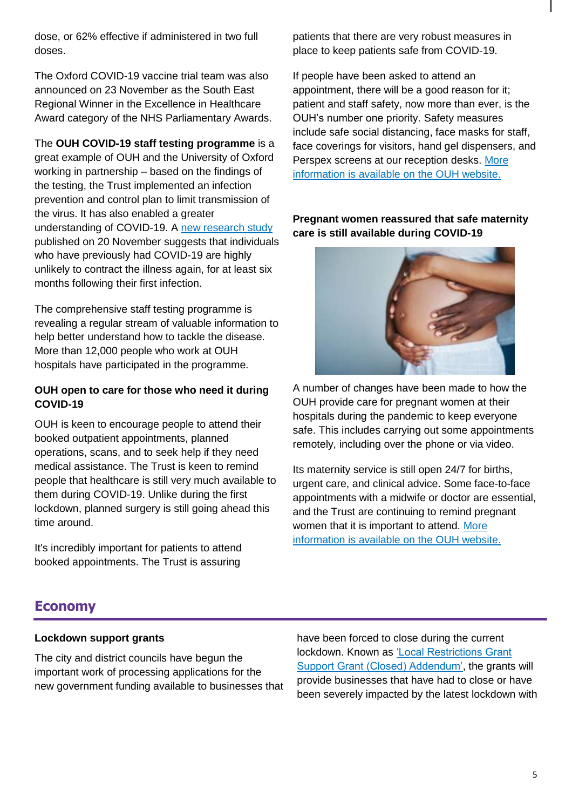dose, or 62% effective if administered in two full doses.

The Oxford COVID-19 vaccine trial team was also announced on 23 November as the South East Regional Winner in the Excellence in Healthcare Award category of the NHS Parliamentary Awards.

The **OUH COVID-19 staff testing programme** is a great example of OUH and the University of Oxford working in partnership – based on the findings of the testing, the Trust implemented an infection prevention and control plan to limit transmission of the virus. It has also enabled a greater understanding of COVID-19. A [new research study](https://www.ouh.nhs.uk/news/article.aspx?id=1425) published on 20 November suggests that individuals who have previously had COVID-19 are highly unlikely to contract the illness again, for at least six months following their first infection.

The comprehensive staff testing programme is revealing a regular stream of valuable information to help better understand how to tackle the disease. More than 12,000 people who work at OUH hospitals have participated in the programme.

#### **OUH open to care for those who need it during COVID-19**

OUH is keen to encourage people to attend their booked outpatient appointments, planned operations, scans, and to seek help if they need medical assistance. The Trust is keen to remind people that healthcare is still very much available to them during COVID-19. Unlike during the first lockdown, planned surgery is still going ahead this time around.

It's incredibly important for patients to attend booked appointments. The Trust is assuring

patients that there are very robust measures in place to keep patients safe from COVID-19.

If people have been asked to attend an appointment, there will be a good reason for it; patient and staff safety, now more than ever, is the OUH's number one priority. Safety measures include safe social distancing, face masks for staff, face coverings for visitors, hand gel dispensers, and Perspex screens at our reception desks. More [information is available on the OUH website.](https://www.ouh.nhs.uk/news/article.aspx?id=1423)

**Pregnant women reassured that safe maternity care is still available during COVID-19** 



A number of changes have been made to how the OUH provide care for pregnant women at their hospitals during the pandemic to keep everyone safe. This includes carrying out some appointments remotely, including over the phone or via video.

Its maternity service is still open 24/7 for births, urgent care, and clinical advice. Some face-to-face appointments with a midwife or doctor are essential, and the Trust are continuing to remind pregnant women that it is important to attend. [More](https://www.ouh.nhs.uk/news/article.aspx?id=1417)  [information is available on the OUH website.](https://www.ouh.nhs.uk/news/article.aspx?id=1417)

# <span id="page-4-0"></span>**Economy**

#### **Lockdown support grants**

The city and district councils have begun the important work of processing applications for the new government funding available to businesses that have been forced to close during the current lockdown. Known as ['Local Restrictions Grant](https://assets.publishing.service.gov.uk/government/uploads/system/uploads/attachment_data/file/935131/local-restrictions-support-grant-CLOSED-ADDENDUM-la-guidance.pdf)  [Support Grant \(Closed\) Addendum',](https://assets.publishing.service.gov.uk/government/uploads/system/uploads/attachment_data/file/935131/local-restrictions-support-grant-CLOSED-ADDENDUM-la-guidance.pdf) the grants will provide businesses that have had to close or have been severely impacted by the latest lockdown with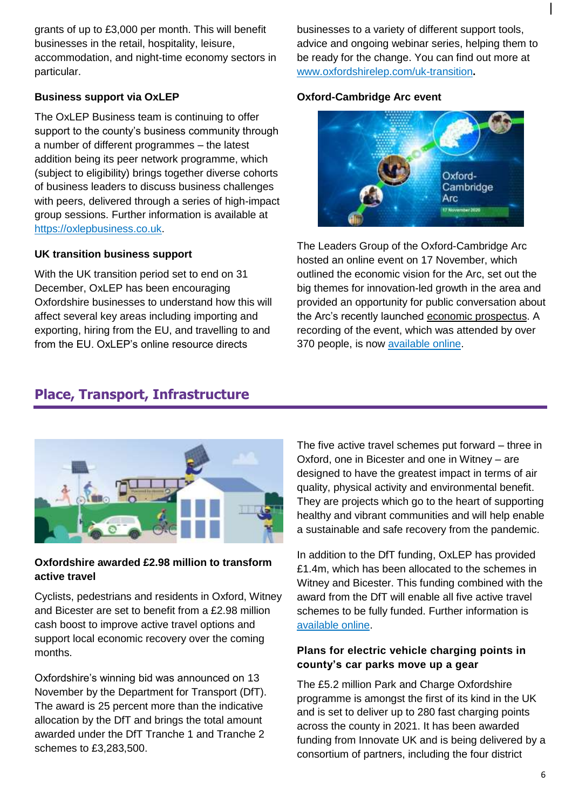grants of up to £3,000 per month. This will benefit businesses in the retail, hospitality, leisure, accommodation, and night-time economy sectors in particular.

#### **Business support via OxLEP**

The OxLEP Business team is continuing to offer support to the county's business community through a number of different programmes – the latest addition being its peer network programme, which (subject to eligibility) brings together diverse cohorts of business leaders to discuss business challenges with peers, delivered through a series of high-impact group sessions. Further information is available at [https://oxlepbusiness.co.uk.](https://oxlepbusiness.co.uk/)

#### **UK transition business support**

With the UK transition period set to end on 31 December, OxLEP has been encouraging Oxfordshire businesses to understand how this will affect several key areas including importing and exporting, hiring from the EU, and travelling to and from the FU. OxLEP's online resource directs

businesses to a variety of different support tools, advice and ongoing webinar series, helping them to be ready for the change. You can find out more at [www.oxfordshirelep.com/uk-transition](http://www.oxfordshirelep.com/uk-transition)**.**

#### **Oxford-Cambridge Arc event**



The Leaders Group of the Oxford-Cambridge Arc hosted an online event on 17 November, which outlined the economic vision for the Arc, set out the big themes for innovation-led growth in the area and provided an opportunity for public conversation about the Arc's recently launched [economic prospectus.](https://news.oxfordshire.gov.uk/download/935113/oxford-cambridgearcprospectus-approved.pdf) A recording of the event, which was attended by over 370 people, is now [available online.](https://www.youtube.com/watch?v=3ZeO-MKy0CA&t=1233s)

## <span id="page-5-0"></span>**Place, Transport, Infrastructure**



#### **Oxfordshire awarded £2.98 million to transform active travel**

Cyclists, pedestrians and residents in Oxford, Witney and Bicester are set to benefit from a £2.98 million cash boost to improve active travel options and support local economic recovery over the coming months.

Oxfordshire's winning bid was announced on 13 November by the Department for Transport (DfT). The award is 25 percent more than the indicative allocation by the DfT and brings the total amount awarded under the DfT Tranche 1 and Tranche 2 schemes to £3,283,500.

The five active travel schemes put forward – three in Oxford, one in Bicester and one in Witney – are designed to have the greatest impact in terms of air quality, physical activity and environmental benefit. They are projects which go to the heart of supporting healthy and vibrant communities and will help enable a sustainable and safe recovery from the pandemic.

In addition to the DfT funding, OxLEP has provided £1.4m, which has been allocated to the schemes in Witney and Bicester. This funding combined with the award from the DfT will enable all five active travel schemes to be fully funded. Further information is [available online.](https://news.oxfordshire.gov.uk/oxfordshire-wins-298-million-to-transform-active-travel/)

#### **Plans for electric vehicle charging points in county's car parks move up a gear**

The £5.2 million Park and Charge Oxfordshire programme is amongst the first of its kind in the UK and is set to deliver up to 280 fast charging points across the county in 2021. It has been awarded funding from Innovate UK and is being delivered by a consortium of partners, including the four district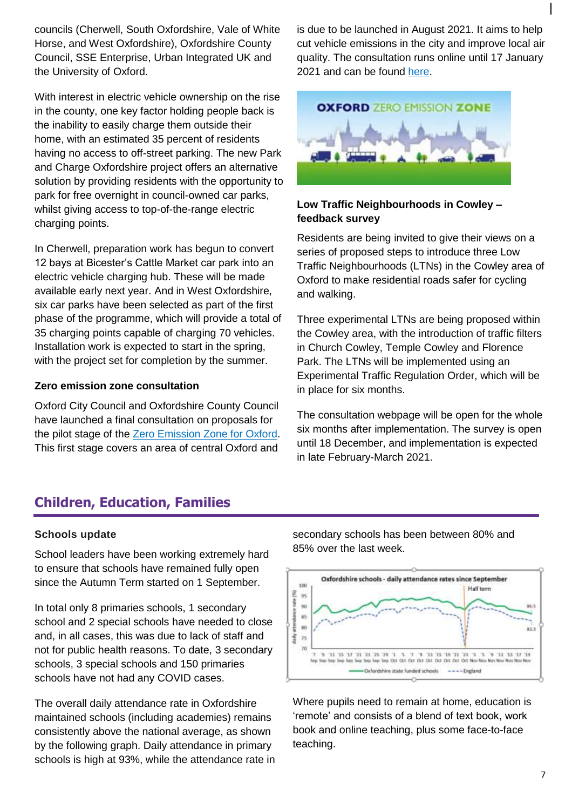councils (Cherwell, South Oxfordshire, Vale of White Horse, and West Oxfordshire), Oxfordshire County Council, SSE Enterprise, Urban Integrated UK and the University of Oxford.

With interest in electric vehicle ownership on the rise in the county, one key factor holding people back is the inability to easily charge them outside their home, with an estimated 35 percent of residents having no access to off-street parking. The new Park and Charge Oxfordshire project offers an alternative solution by providing residents with the opportunity to park for free overnight in council-owned car parks, whilst giving access to top-of-the-range electric charging points.

In Cherwell, preparation work has begun to convert 12 bays at Bicester's Cattle Market car park into an electric vehicle charging hub. These will be made available early next year. And in West Oxfordshire, six car parks have been selected as part of the first phase of the programme, which will provide a total of 35 charging points capable of charging 70 vehicles. Installation work is expected to start in the spring, with the project set for completion by the summer.

#### **Zero emission zone consultation**

Oxford City Council and Oxfordshire County Council have launched a final consultation on proposals for the pilot stage of the [Zero Emission Zone for Oxford.](https://www.oxford.gov.uk/news/article/1625/zero_emission_zone_pilot_proposal_out_for_final_consultation) This first stage covers an area of central Oxford and

is due to be launched in August 2021. It aims to help cut vehicle emissions in the city and improve local air quality. The consultation runs online until 17 January 2021 and can be found [here.](https://consultations.oxfordshire.gov.uk/consult.ti/formalzezpilot/consultationHome)



#### **Low Traffic Neighbourhoods in Cowley – feedback survey**

Residents are being invited to give their views on a series of proposed steps to introduce three Low Traffic Neighbourhoods (LTNs) in the Cowley area of Oxford to make residential roads safer for cycling and walking.

Three experimental LTNs are being proposed within the Cowley area, with the introduction of traffic filters in Church Cowley, Temple Cowley and Florence Park. The LTNs will be implemented using an Experimental Traffic Regulation Order, which will be in place for six months.

The consultation webpage will be open for the whole six months after implementation. The survey is open until 18 December, and implementation is expected in late February-March 2021.

### <span id="page-6-0"></span>**Children, Education, Families**

#### **Schools update**

School leaders have been working extremely hard to ensure that schools have remained fully open since the Autumn Term started on 1 September.

In total only 8 primaries schools, 1 secondary school and 2 special schools have needed to close and, in all cases, this was due to lack of staff and not for public health reasons. To date, 3 secondary schools, 3 special schools and 150 primaries schools have not had any COVID cases.

The overall daily attendance rate in Oxfordshire maintained schools (including academies) remains consistently above the national average, as shown by the following graph. Daily attendance in primary schools is high at 93%, while the attendance rate in

secondary schools has been between 80% and 85% over the last week.



Where pupils need to remain at home, education is 'remote' and consists of a blend of text book, work book and online teaching, plus some face-to-face teaching.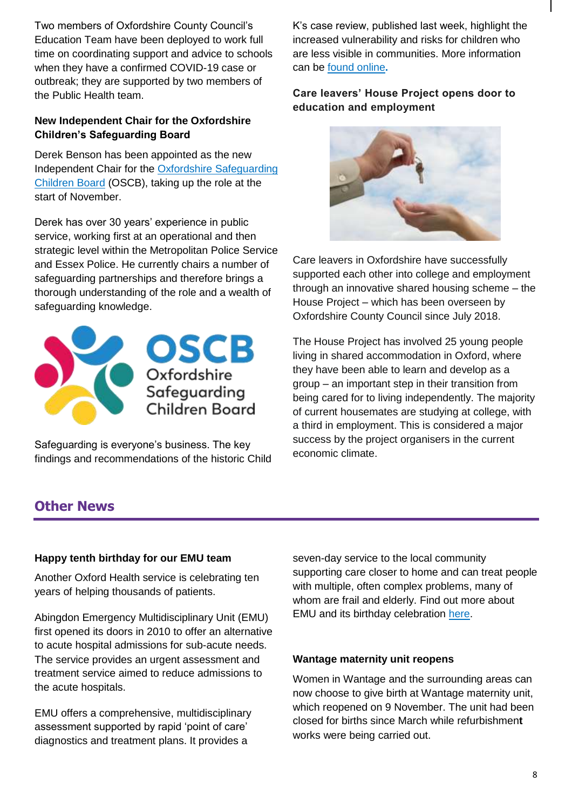Two members of Oxfordshire County Council's Education Team have been deployed to work full time on coordinating support and advice to schools when they have a confirmed COVID-19 case or outbreak; they are supported by two members of the Public Health team.

#### **New Independent Chair for the Oxfordshire Children's Safeguarding Board**

Derek Benson has been appointed as the new Independent Chair for the [Oxfordshire Safeguarding](https://www.oscb.org.uk/)  [Children Board](https://www.oscb.org.uk/) (OSCB), taking up the role at the start of November.

Derek has over 30 years' experience in public service, working first at an operational and then strategic level within the Metropolitan Police Service and Essex Police. He currently chairs a number of safeguarding partnerships and therefore brings a thorough understanding of the role and a wealth of safeguarding knowledge.



Safeguarding is everyone's business. The key findings and recommendations of the historic Child K's case review, published last week, highlight the increased vulnerability and risks for children who are less visible in communities. More information can be [found online](https://news.oxfordshire.gov.uk/historic-review-of-oxfordshire-child-admitted-to-hospital-with-severe-weight-loss/)**.**

#### **Care leavers' House Project opens door to education and employment**



Care leavers in Oxfordshire have successfully supported each other into college and employment through an innovative shared housing scheme – the House Project – which has been overseen by Oxfordshire County Council since July 2018.

The House Project has involved 25 young people living in shared accommodation in Oxford, where they have been able to learn and develop as a group – an important step in their transition from being cared for to living independently. The majority of current housemates are studying at college, with a third in employment. This is considered a major success by the project organisers in the current economic climate.

# <span id="page-7-0"></span>**Other News**

#### **Happy tenth birthday for our EMU team**

Another Oxford Health service is celebrating ten years of helping thousands of patients.

Abingdon Emergency Multidisciplinary Unit (EMU) first opened its doors in 2010 to offer an alternative to acute hospital admissions for sub-acute needs. The service provides an urgent assessment and treatment service aimed to reduce admissions to the acute hospitals.

EMU offers a comprehensive, multidisciplinary assessment supported by rapid 'point of care' diagnostics and treatment plans. It provides a

seven-day service to the local community supporting care closer to home and can treat people with multiple, often complex problems, many of whom are frail and elderly. Find out more about EMU and its birthday celebration [here.](https://www.oxfordhealth.nhs.uk/news/happy-tenth-birthday-for-our-emu-team/)

#### **Wantage maternity unit reopens**

Women in Wantage and the surrounding areas can now choose to give birth at Wantage maternity unit, which reopened on 9 November. The unit had been closed for births since March while refurbishmen**t** works were being carried out.